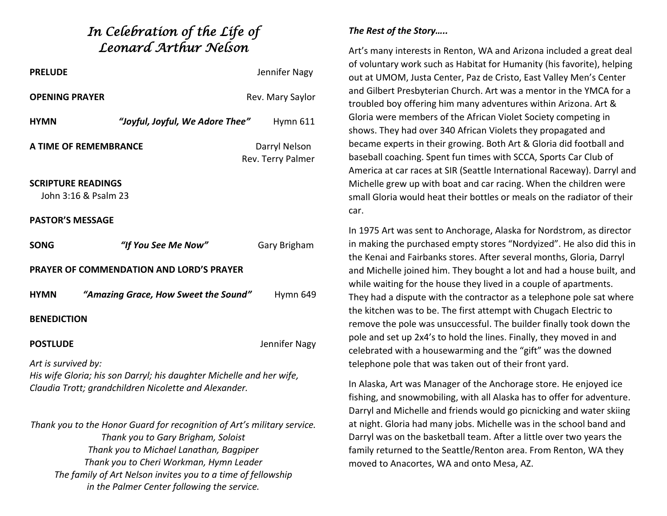## *In Celebration of the Life of Leonard Arthur Nelson*

| <b>PRELUDE</b>                                                                                                                                       |                                      | Jennifer Nagy                      |
|------------------------------------------------------------------------------------------------------------------------------------------------------|--------------------------------------|------------------------------------|
| <b>OPENING PRAYER</b>                                                                                                                                |                                      | Rev. Mary Saylor                   |
| <b>HYMN</b>                                                                                                                                          | "Joyful, Joyful, We Adore Thee"      | <b>Hymn 611</b>                    |
| A TIME OF REMEMBRANCE                                                                                                                                |                                      | Darryl Nelson<br>Rev. Terry Palmer |
| <b>SCRIPTURE READINGS</b><br>John 3:16 & Psalm 23                                                                                                    |                                      |                                    |
| <b>PASTOR'S MESSAGE</b>                                                                                                                              |                                      |                                    |
| <b>SONG</b>                                                                                                                                          | "If You See Me Now"                  | Gary Brigham                       |
| <b>PRAYER OF COMMENDATION AND LORD'S PRAYER</b>                                                                                                      |                                      |                                    |
| <b>HYMN</b>                                                                                                                                          | "Amazing Grace, How Sweet the Sound" | Hymn 649                           |
| <b>BENEDICTION</b>                                                                                                                                   |                                      |                                    |
| <b>POSTLUDE</b>                                                                                                                                      |                                      | Jennifer Nagy                      |
| Art is survived by:<br>His wife Gloria; his son Darryl; his daughter Michelle and her wife,<br>Claudia Trott; grandchildren Nicolette and Alexander. |                                      |                                    |
| Thopk you to the Hener Cuard for researching of Art's military convice                                                                               |                                      |                                    |

*Thank you to the Honor Guard for recognition of Art's military service. Thank you to Gary Brigham, Soloist Thank you to Michael Lanathan, Bagpiper Thank you to Cheri Workman, Hymn Leader The family of Art Nelson invites you to a time of fellowship in the Palmer Center following the service.*

## *The Rest of the Story…..*

Art's many interests in Renton, WA and Arizona included a great deal of voluntary work such as Habitat for Humanity (his favorite), helping out at UMOM, Justa Center, Paz de Cristo, East Valley Men's Center and Gilbert Presbyterian Church. Art was a mentor in the YMCA for a troubled boy offering him many adventures within Arizona. Art & Gloria were members of the African Violet Society competing in shows. They had over 340 African Violets they propagated and became experts in their growing. Both Art & Gloria did football and baseball coaching. Spent fun times with SCCA, Sports Car Club of America at car races at SIR (Seattle International Raceway). Darryl and Michelle grew up with boat and car racing. When the children were small Gloria would heat their bottles or meals on the radiator of their car.

In 1975 Art was sent to Anchorage, Alaska for Nordstrom, as director in making the purchased empty stores "Nordyized". He also did this in the Kenai and Fairbanks stores. After several months, Gloria, Darryl and Michelle joined him. They bought a lot and had a house built, and while waiting for the house they lived in a couple of apartments. They had a dispute with the contractor as a telephone pole sat where the kitchen was to be. The first attempt with Chugach Electric to remove the pole was unsuccessful. The builder finally took down the pole and set up 2x4's to hold the lines. Finally, they moved in and celebrated with a housewarming and the "gift" was the downed telephone pole that was taken out of their front yard.

In Alaska, Art was Manager of the Anchorage store. He enjoyed ice fishing, and snowmobiling, with all Alaska has to offer for adventure. Darryl and Michelle and friends would go picnicking and water skiing at night. Gloria had many jobs. Michelle was in the school band and Darryl was on the basketball team. After a little over two years the family returned to the Seattle/Renton area. From Renton, WA they moved to Anacortes, WA and onto Mesa, AZ.